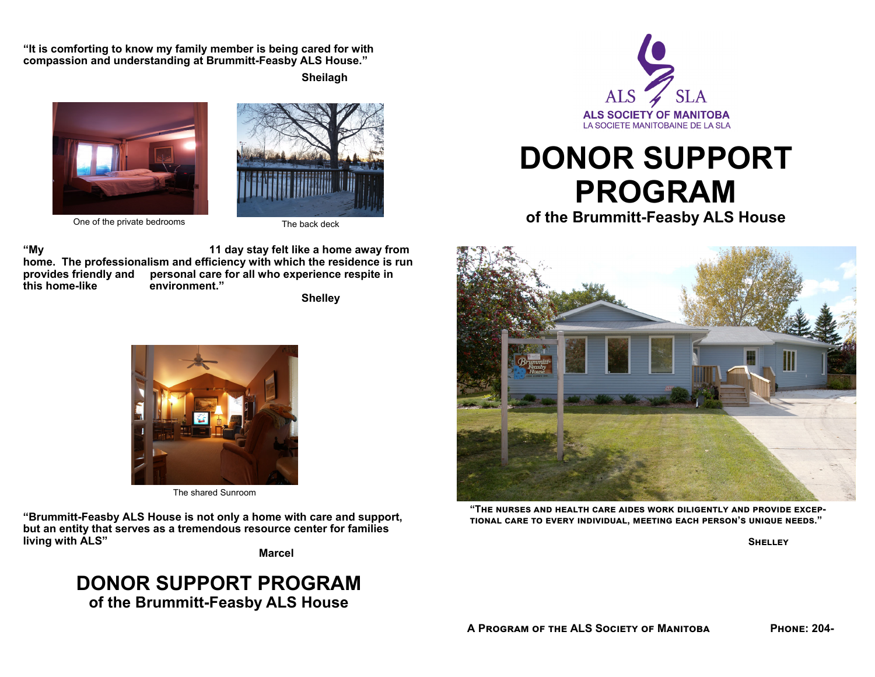**"It is comforting to know my family member is being cared for with compassion and understanding at Brummitt-Feasby ALS House."**

 **Sheilagh** 





One of the private bedrooms The back deck

**"My 11 day stay felt like a home away from home. The professionalism and efficiency with which the residence is run provides friendly and personal care for all who experience respite in this home-like environment."** 

 **Shelley** 



The shared Sunroom

**"Brummitt-Feasby ALS House is not only a home with care and support, but an entity that serves as a tremendous resource center for families living with ALS"** 

 **Marcel** 

## **DONOR SUPPORT PROGRAM of the Brummitt-Feasby ALS House**



## **DONOR SUPPORT PROGRAM**

**of the Brummitt-Feasby ALS House** 



 $^{\circ}$ THE NURSES AND HEALTH CARE AIDES WORK DILIGENTLY AND PROVIDE EXCEP- $\blacksquare$  TO AND AND INDIVIOUAL, MEETING EACH PERSON'S UNIQUE NEEDS."

**SHELLEY**